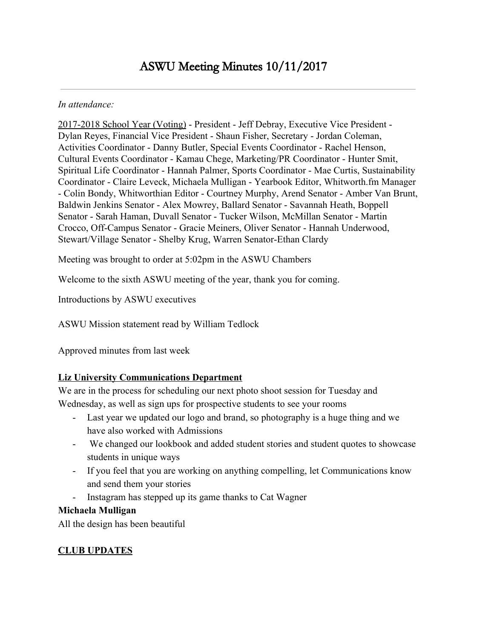#### *In attendance:*

2017-2018 School Year (Voting) - President - Jeff Debray, Executive Vice President - Dylan Reyes, Financial Vice President - Shaun Fisher, Secretary - Jordan Coleman, Activities Coordinator - Danny Butler, Special Events Coordinator - Rachel Henson, Cultural Events Coordinator - Kamau Chege, Marketing/PR Coordinator - Hunter Smit, Spiritual Life Coordinator - Hannah Palmer, Sports Coordinator - Mae Curtis, Sustainability Coordinator - Claire Leveck, Michaela Mulligan - Yearbook Editor, Whitworth.fm Manager - Colin Bondy, Whitworthian Editor - Courtney Murphy, Arend Senator - Amber Van Brunt, Baldwin Jenkins Senator - Alex Mowrey, Ballard Senator - Savannah Heath, Boppell Senator - Sarah Haman, Duvall Senator - Tucker Wilson, McMillan Senator - Martin Crocco, Off-Campus Senator - Gracie Meiners, Oliver Senator - Hannah Underwood, Stewart/Village Senator - Shelby Krug, Warren Senator-Ethan Clardy

Meeting was brought to order at 5:02pm in the ASWU Chambers

Welcome to the sixth ASWU meeting of the year, thank you for coming.

Introductions by ASWU executives

ASWU Mission statement read by William Tedlock

Approved minutes from last week

## **Liz University Communications Department**

We are in the process for scheduling our next photo shoot session for Tuesday and Wednesday, as well as sign ups for prospective students to see your rooms

- Last year we updated our logo and brand, so photography is a huge thing and we have also worked with Admissions
- We changed our lookbook and added student stories and student quotes to showcase students in unique ways
- If you feel that you are working on anything compelling, let Communications know and send them your stories
- Instagram has stepped up its game thanks to Cat Wagner

### **Michaela Mulligan**

All the design has been beautiful

## **CLUB UPDATES**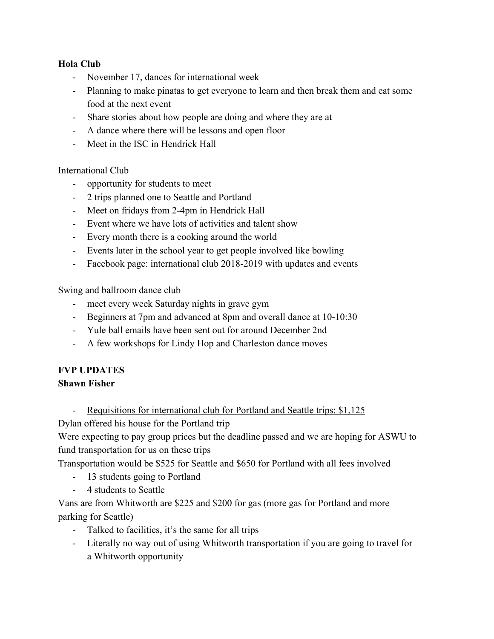### **Hola Club**

- November 17, dances for international week
- Planning to make pinatas to get everyone to learn and then break them and eat some food at the next event
- Share stories about how people are doing and where they are at
- A dance where there will be lessons and open floor
- Meet in the ISC in Hendrick Hall

### International Club

- opportunity for students to meet
- 2 trips planned one to Seattle and Portland
- Meet on fridays from 2-4pm in Hendrick Hall
- Event where we have lots of activities and talent show
- Every month there is a cooking around the world
- Events later in the school year to get people involved like bowling
- Facebook page: international club 2018-2019 with updates and events

Swing and ballroom dance club

- meet every week Saturday nights in grave gym
- Beginners at 7pm and advanced at 8pm and overall dance at 10-10:30
- Yule ball emails have been sent out for around December 2nd
- A few workshops for Lindy Hop and Charleston dance moves

# **FVP UPDATES**

## **Shawn Fisher**

- Requisitions for international club for Portland and Seattle trips: \$1,125

Dylan offered his house for the Portland trip

Were expecting to pay group prices but the deadline passed and we are hoping for ASWU to fund transportation for us on these trips

Transportation would be \$525 for Seattle and \$650 for Portland with all fees involved

- 13 students going to Portland
- 4 students to Seattle

Vans are from Whitworth are \$225 and \$200 for gas (more gas for Portland and more parking for Seattle)

- Talked to facilities, it's the same for all trips
- Literally no way out of using Whitworth transportation if you are going to travel for a Whitworth opportunity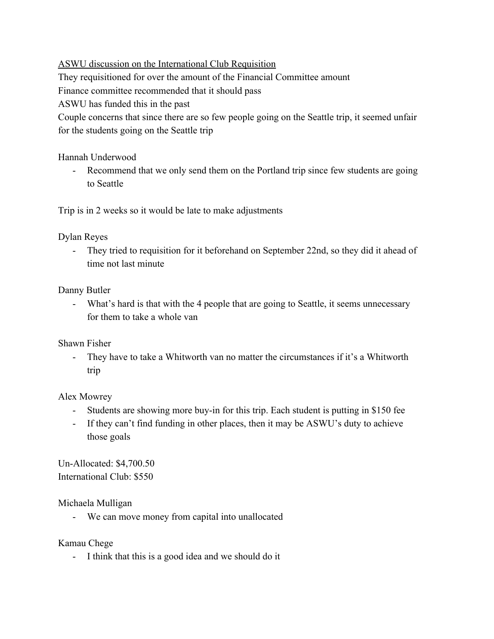ASWU discussion on the International Club Requisition

They requisitioned for over the amount of the Financial Committee amount

Finance committee recommended that it should pass

ASWU has funded this in the past

Couple concerns that since there are so few people going on the Seattle trip, it seemed unfair for the students going on the Seattle trip

Hannah Underwood

- Recommend that we only send them on the Portland trip since few students are going to Seattle

Trip is in 2 weeks so it would be late to make adjustments

Dylan Reyes

- They tried to requisition for it beforehand on September 22nd, so they did it ahead of time not last minute

## Danny Butler

- What's hard is that with the 4 people that are going to Seattle, it seems unnecessary for them to take a whole van

Shawn Fisher

- They have to take a Whitworth van no matter the circumstances if it's a Whitworth trip

Alex Mowrey

- Students are showing more buy-in for this trip. Each student is putting in \$150 fee
- If they can't find funding in other places, then it may be ASWU's duty to achieve those goals

Un-Allocated: \$4,700.50 International Club: \$550

Michaela Mulligan

- We can move money from capital into unallocated

Kamau Chege

- I think that this is a good idea and we should do it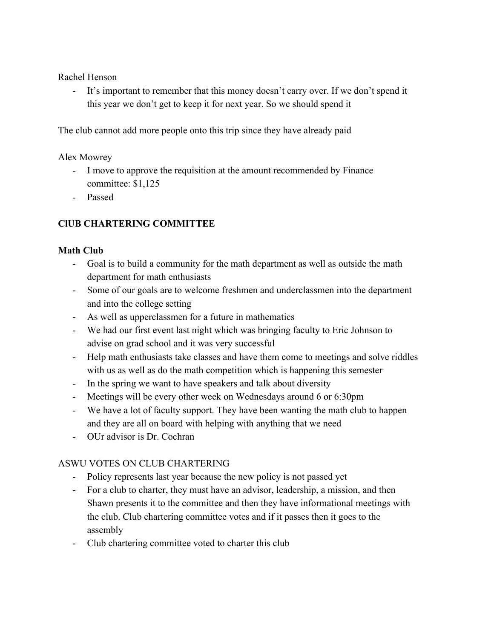Rachel Henson

- It's important to remember that this money doesn't carry over. If we don't spend it this year we don't get to keep it for next year. So we should spend it

The club cannot add more people onto this trip since they have already paid

Alex Mowrey

- I move to approve the requisition at the amount recommended by Finance committee: \$1,125
- Passed

## **ClUB CHARTERING COMMITTEE**

## **Math Club**

- Goal is to build a community for the math department as well as outside the math department for math enthusiasts
- Some of our goals are to welcome freshmen and underclassmen into the department and into the college setting
- As well as upperclassmen for a future in mathematics
- We had our first event last night which was bringing faculty to Eric Johnson to advise on grad school and it was very successful
- Help math enthusiasts take classes and have them come to meetings and solve riddles with us as well as do the math competition which is happening this semester
- In the spring we want to have speakers and talk about diversity
- Meetings will be every other week on Wednesdays around 6 or 6:30pm
- We have a lot of faculty support. They have been wanting the math club to happen and they are all on board with helping with anything that we need
- OUr advisor is Dr. Cochran

## ASWU VOTES ON CLUB CHARTERING

- Policy represents last year because the new policy is not passed yet
- For a club to charter, they must have an advisor, leadership, a mission, and then Shawn presents it to the committee and then they have informational meetings with the club. Club chartering committee votes and if it passes then it goes to the assembly
- Club chartering committee voted to charter this club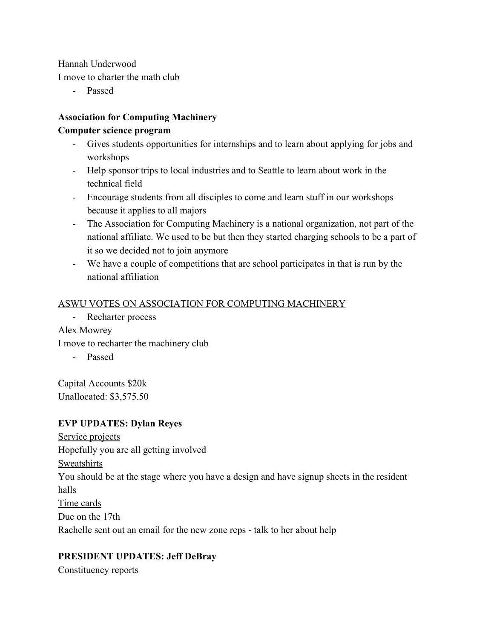Hannah Underwood

I move to charter the math club

- Passed

## **Association for Computing Machinery Computer science program**

- Gives students opportunities for internships and to learn about applying for jobs and workshops
- Help sponsor trips to local industries and to Seattle to learn about work in the technical field
- Encourage students from all disciples to come and learn stuff in our workshops because it applies to all majors
- The Association for Computing Machinery is a national organization, not part of the national affiliate. We used to be but then they started charging schools to be a part of it so we decided not to join anymore
- We have a couple of competitions that are school participates in that is run by the national affiliation

## ASWU VOTES ON ASSOCIATION FOR COMPUTING MACHINERY

- Recharter process

Alex Mowrey

I move to recharter the machinery club

- Passed

Capital Accounts \$20k Unallocated: \$3,575.50

## **EVP UPDATES: Dylan Reyes**

Service projects Hopefully you are all getting involved Sweatshirts You should be at the stage where you have a design and have signup sheets in the resident halls Time cards Due on the 17th Rachelle sent out an email for the new zone reps - talk to her about help

## **PRESIDENT UPDATES: Jeff DeBray**

Constituency reports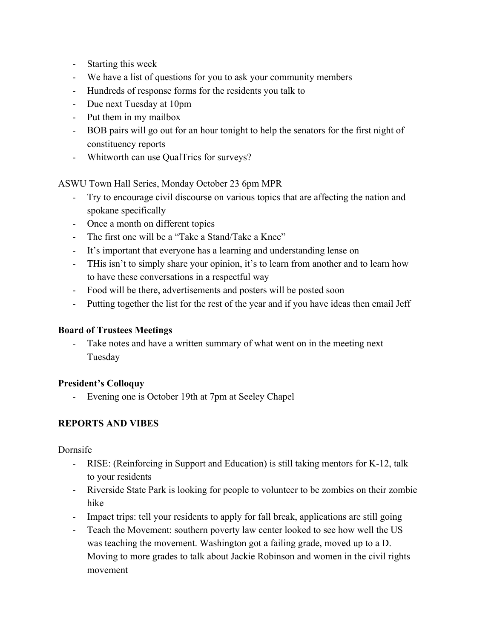- Starting this week
- We have a list of questions for you to ask your community members
- Hundreds of response forms for the residents you talk to
- Due next Tuesday at 10pm
- Put them in my mailbox
- BOB pairs will go out for an hour tonight to help the senators for the first night of constituency reports
- Whitworth can use QualTrics for surveys?

ASWU Town Hall Series, Monday October 23 6pm MPR

- Try to encourage civil discourse on various topics that are affecting the nation and spokane specifically
- Once a month on different topics
- The first one will be a "Take a Stand/Take a Knee"
- It's important that everyone has a learning and understanding lense on
- THis isn't to simply share your opinion, it's to learn from another and to learn how to have these conversations in a respectful way
- Food will be there, advertisements and posters will be posted soon
- Putting together the list for the rest of the year and if you have ideas then email Jeff

### **Board of Trustees Meetings**

- Take notes and have a written summary of what went on in the meeting next Tuesday

### **President's Colloquy**

- Evening one is October 19th at 7pm at Seeley Chapel

## **REPORTS AND VIBES**

Dornsife

- RISE: (Reinforcing in Support and Education) is still taking mentors for K-12, talk to your residents
- Riverside State Park is looking for people to volunteer to be zombies on their zombie hike
- Impact trips: tell your residents to apply for fall break, applications are still going
- Teach the Movement: southern poverty law center looked to see how well the US was teaching the movement. Washington got a failing grade, moved up to a D. Moving to more grades to talk about Jackie Robinson and women in the civil rights movement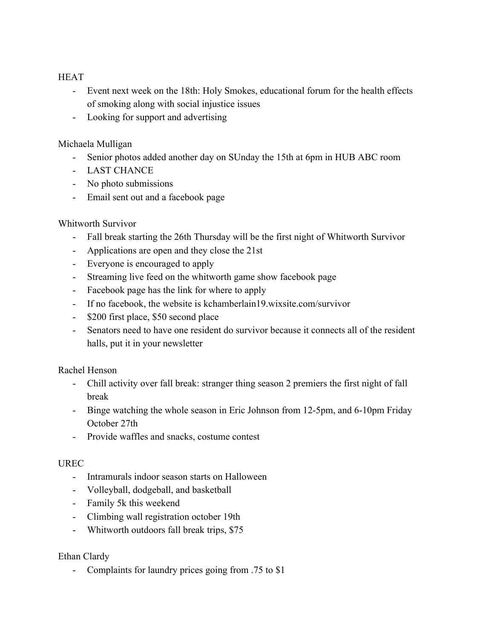### **HEAT**

- Event next week on the 18th: Holy Smokes, educational forum for the health effects of smoking along with social injustice issues
- Looking for support and advertising

### Michaela Mulligan

- Senior photos added another day on SUnday the 15th at 6pm in HUB ABC room
- LAST CHANCE
- No photo submissions
- Email sent out and a facebook page

## Whitworth Survivor

- Fall break starting the 26th Thursday will be the first night of Whitworth Survivor
- Applications are open and they close the 21st
- Everyone is encouraged to apply
- Streaming live feed on the whitworth game show facebook page
- Facebook page has the link for where to apply
- If no facebook, the website is kchamberlain19.wixsite.com/survivor
- \$200 first place, \$50 second place
- Senators need to have one resident do survivor because it connects all of the resident halls, put it in your newsletter

Rachel Henson

- Chill activity over fall break: stranger thing season 2 premiers the first night of fall break
- Binge watching the whole season in Eric Johnson from 12-5pm, and 6-10pm Friday October 27th
- Provide waffles and snacks, costume contest

### UREC

- Intramurals indoor season starts on Halloween
- Volleyball, dodgeball, and basketball
- Family 5k this weekend
- Climbing wall registration october 19th
- Whitworth outdoors fall break trips, \$75

### Ethan Clardy

- Complaints for laundry prices going from .75 to \$1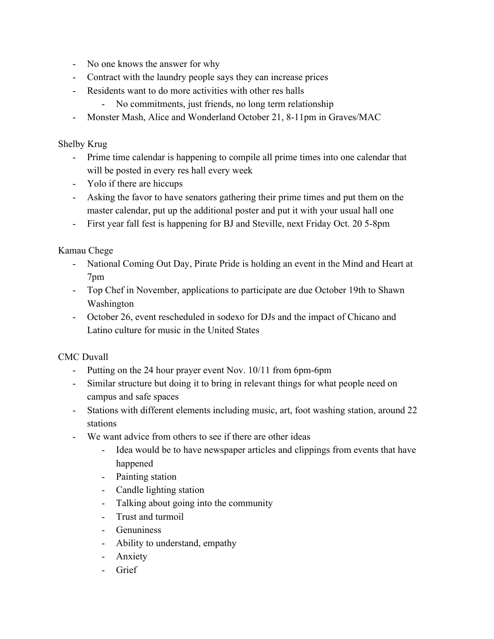- No one knows the answer for why
- Contract with the laundry people says they can increase prices
- Residents want to do more activities with other res halls
	- No commitments, just friends, no long term relationship
- Monster Mash, Alice and Wonderland October 21, 8-11pm in Graves/MAC

### Shelby Krug

- Prime time calendar is happening to compile all prime times into one calendar that will be posted in every res hall every week
- Yolo if there are hiccups
- Asking the favor to have senators gathering their prime times and put them on the master calendar, put up the additional poster and put it with your usual hall one
- First year fall fest is happening for BJ and Steville, next Friday Oct. 20 5-8pm

Kamau Chege

- National Coming Out Day, Pirate Pride is holding an event in the Mind and Heart at 7pm
- Top Chef in November, applications to participate are due October 19th to Shawn Washington
- October 26, event rescheduled in sodexo for DJs and the impact of Chicano and Latino culture for music in the United States

CMC Duvall

- Putting on the 24 hour prayer event Nov. 10/11 from 6pm-6pm
- Similar structure but doing it to bring in relevant things for what people need on campus and safe spaces
- Stations with different elements including music, art, foot washing station, around 22 stations
- We want advice from others to see if there are other ideas
	- Idea would be to have newspaper articles and clippings from events that have happened
	- Painting station
	- Candle lighting station
	- Talking about going into the community
	- Trust and turmoil
	- Genuniness
	- Ability to understand, empathy
	- Anxiety
	- Grief